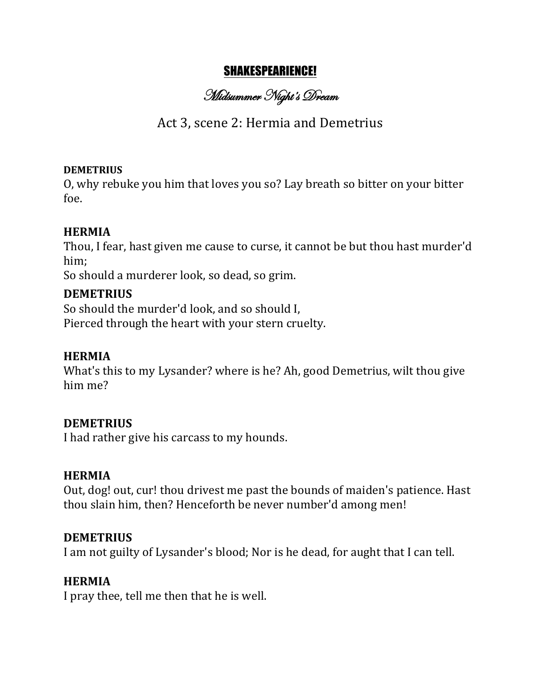## SHAKESPEARIENCE!

Midsummer Night's Dream

# Act 3, scene 2: Hermia and Demetrius

#### **DEMETRIUS**

O, why rebuke you him that loves you so? Lay breath so bitter on your bitter foe.

## **HERMIA**

Thou, I fear, hast given me cause to curse, it cannot be but thou hast murder'd him;

So should a murderer look, so dead, so grim.

#### **DEMETRIUS**

So should the murder'd look, and so should I, Pierced through the heart with your stern cruelty.

## **HERMIA**

What's this to my Lysander? where is he? Ah, good Demetrius, wilt thou give him me?

## **DEMETRIUS**

I had rather give his carcass to my hounds.

#### **HERMIA**

Out, dog! out, cur! thou drivest me past the bounds of maiden's patience. Hast thou slain him, then? Henceforth be never number'd among men!

## **DEMETRIUS**

I am not guilty of Lysander's blood; Nor is he dead, for aught that I can tell.

## **HERMIA**

I pray thee, tell me then that he is well.